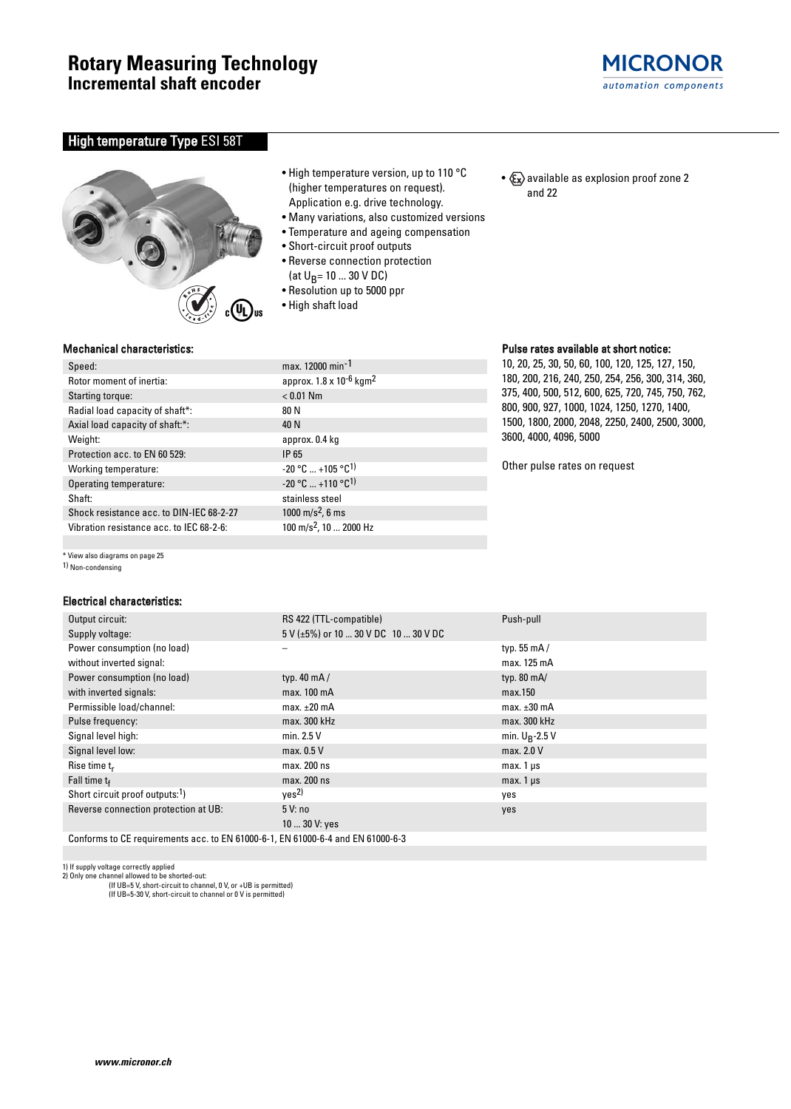

# High temperature Type ESI 58T



- High temperature version, up to 110 °C (higher temperatures on request). Application e.g. drive technology.
- Many variations, also customized versions
- Temperature and ageing compensation
- Short-circuit proof outputs
- Reverse connection protection (at  $U_B$ = 10 ... 30 V DC)
- Resolution up to 5000 ppr
- High shaft load

approx.  $1.8 \times 10^{-6}$  kgm<sup>2</sup>

 $-20$  °C  $\ldots +105$  °C<sup>1)</sup>  $-20$  °C  $...$  +110 °C<sup>1)</sup> stainless steel  $1000 \text{ m/s}^2$ , 6 ms 100 m/s<sup>2</sup>, 10 ... 2000 Hz •  $x \rightarrow \infty$  available as explosion proof zone 2 and 22

## Pulse rates available at short notice:

10, 20, 25, 30, 50, 60, 100, 120, 125, 127, 150, 180, 200, 216, 240, 250, 254, 256, 300, 314, 360, 375, 400, 500, 512, 600, 625, 720, 745, 750, 762, 800, 900, 927, 1000, 1024, 1250, 1270, 1400, 1500, 1800, 2000, 2048, 2250, 2400, 2500, 3000, 3600, 4000, 4096, 5000

Other pulse rates on request

## Mechanical characteristics:

| Speed:                                   | max. 12000 min <sup>-1</sup>         |
|------------------------------------------|--------------------------------------|
| Rotor moment of inertia:                 | approx. 1.8 x 10-6                   |
| Starting torque:                         | $< 0.01$ Nm                          |
| Radial load capacity of shaft*:          | 80 N                                 |
| Axial load capacity of shaft:*:          | 40 N                                 |
| Weight:                                  | approx. 0.4 kg                       |
| Protection acc. to EN 60 529:            | IP 65                                |
| Working temperature:                     | $-20$ °C $$ +105 °C $^1$             |
| Operating temperature:                   | -20 °C  +110 °C <sup>1</sup>         |
| Shaft:                                   | stainless steel                      |
| Shock resistance acc. to DIN-IEC 68-2-27 | 1000 m/s <sup>2</sup> , 6 ms         |
| Vibration resistance acc. to IFC 68-2-6: | $100 \text{ m/s}^2$ , $10 \dots 200$ |

\* View also diagrams on page 25

1) Non-condensing

#### Electrical characteristics:

| Output circuit:                                                                 | RS 422 (TTL-compatible)                      | Push-pull            |  |  |  |  |
|---------------------------------------------------------------------------------|----------------------------------------------|----------------------|--|--|--|--|
| Supply voltage:                                                                 | $5$ V ( $\pm$ 5%) or 10  30 V DC 10  30 V DC |                      |  |  |  |  |
| Power consumption (no load)                                                     |                                              | typ. 55 $mA/$        |  |  |  |  |
| without inverted signal:                                                        |                                              | max. 125 mA          |  |  |  |  |
| Power consumption (no load)                                                     | typ. $40 \text{ mA}$                         | typ. $80 \text{ mA}$ |  |  |  |  |
| with inverted signals:                                                          | max. 100 mA                                  | max.150              |  |  |  |  |
| Permissible load/channel:                                                       | max. $\pm 20$ mA                             | $max. \pm 30$ mA     |  |  |  |  |
| Pulse frequency:                                                                | max. 300 kHz                                 | max. 300 kHz         |  |  |  |  |
| Signal level high:                                                              | min. $2.5V$                                  | min. $U_R$ -2.5 V    |  |  |  |  |
| Signal level low:                                                               | max. 0.5 V                                   | max. 2.0 V           |  |  |  |  |
| Rise time $t_r$                                                                 | max. 200 ns                                  | $max.1 \,\mu s$      |  |  |  |  |
| Fall time $t_f$                                                                 | max. 200 ns                                  | $max.1 \,\mu s$      |  |  |  |  |
| Short circuit proof outputs: <sup>1</sup> )                                     | yes <sup>2</sup>                             | yes                  |  |  |  |  |
| Reverse connection protection at UB:                                            | 5V:no                                        | yes                  |  |  |  |  |
|                                                                                 | 10  30 V: yes                                |                      |  |  |  |  |
| Conforms to CE requirements acc. to EN 61000-6-1. EN 61000-6-4 and EN 61000-6-3 |                                              |                      |  |  |  |  |

1) If supply voltage correctly applied 2) Only one channel allowed to be shorted-out:

(If UB=5 V, short-circuit to channel, 0 V, or +UB is permitted) (If UB=5-30 V, short-circuit to channel or 0 V is permitted)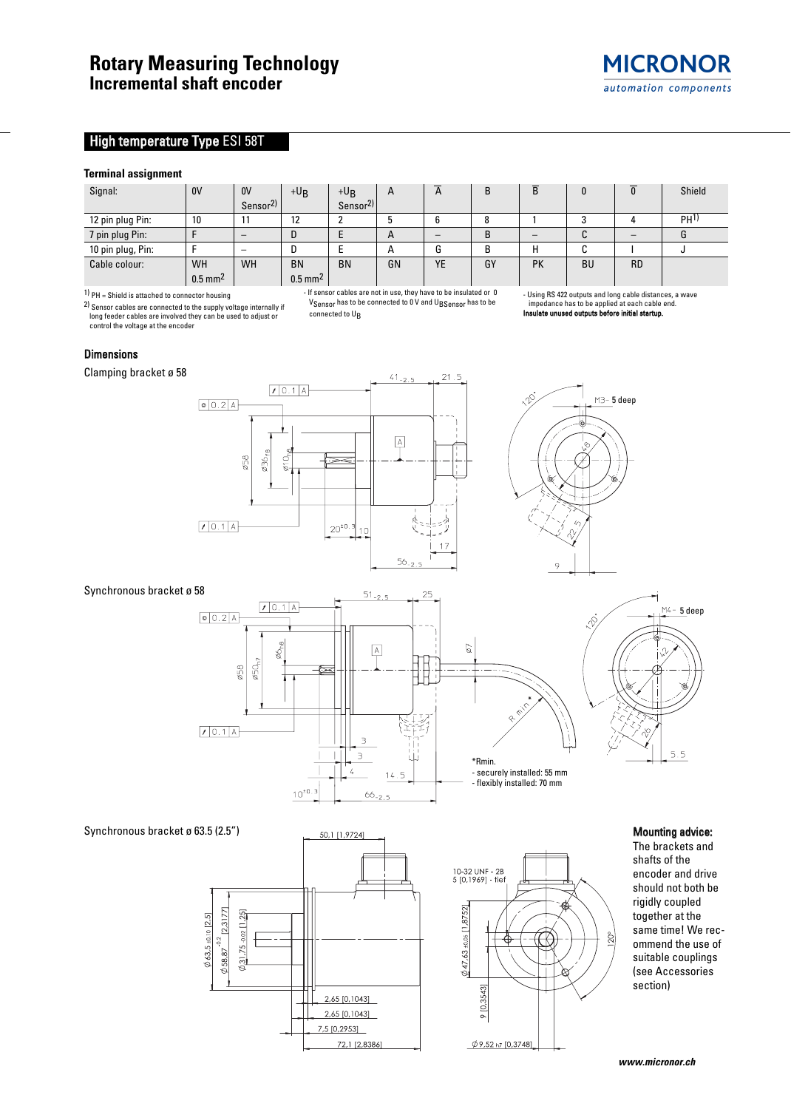# **High temperature Type ESI 58T**

#### **Terminal assignment**

| Signal:           | 0V                    | 0 <sup>V</sup>       | $+U_B$                | $+U_B$               | A  | $\mathsf{A}$ |        | $\overline{\mathsf{B}}$ |    | $\overline{0}$ | Shield          |
|-------------------|-----------------------|----------------------|-----------------------|----------------------|----|--------------|--------|-------------------------|----|----------------|-----------------|
|                   |                       | Sensor <sup>2)</sup> |                       | Sensor <sup>2)</sup> |    |              |        |                         |    |                |                 |
| 12 pin plug Pin:  | 10                    |                      | 12                    |                      |    |              | o<br>õ |                         |    |                | PH <sup>1</sup> |
| 7 pin plug Pin:   |                       |                      | D                     |                      | A  |              | B      |                         | u  |                |                 |
| 10 pin plug, Pin: |                       |                      |                       |                      | A  |              |        | н                       | ື  |                |                 |
| Cable colour:     | <b>WH</b>             | <b>WH</b>            | <b>BN</b>             | <b>BN</b>            | GN | YE           | GY     | <b>PK</b>               | BU | <b>RD</b>      |                 |
|                   | $0.5$ mm <sup>2</sup> |                      | $0.5$ mm <sup>2</sup> |                      |    |              |        |                         |    |                |                 |

1) PH = Shield is attached to connector housing

2) Sensor cables are connected to the supply voltage internally if long feeder cables are involved they can be used to adjust or control the voltage at the encoder

- If sensor cables are not in use, they have to be insulated or 0 V<sub>Sensor</sub> has to be connected to 0 V and U<sub>BSensor</sub> has to be connected to U<sub>B</sub>

- Using RS 422 outputs and long cable distances, a wave impedance has to be applied at each cable end.<br> **impedance has to be applied at each cable end.** Insulate unused outputs before initial startup.

#### **Dimensions**

Clamping bracket ø 58





### Synchronous bracket ø 58

 $51_{-2.5}$  $25$  $70.1$  A  $\n 0.2A$  $\boxed{\text{A}}$ 57  $\varnothing$ 50<sub>h7</sub> ø58 ŧ  $10.1$  A E  $\exists$ \*Rmin.  $\overline{4}$ - securely installed: 55 mm  $14$  $\overline{a}$ - flexibly installed: 70 mm  $\frac{10^{10.3}}{2}$  $66 - 7$ 





 $5.5$ 

 $M4 - 5$  deep

The brackets and shafts of the encoder and drive should not both be rigidly coupled together at the same time! We recommend the use of suitable couplings (see Accessories section)